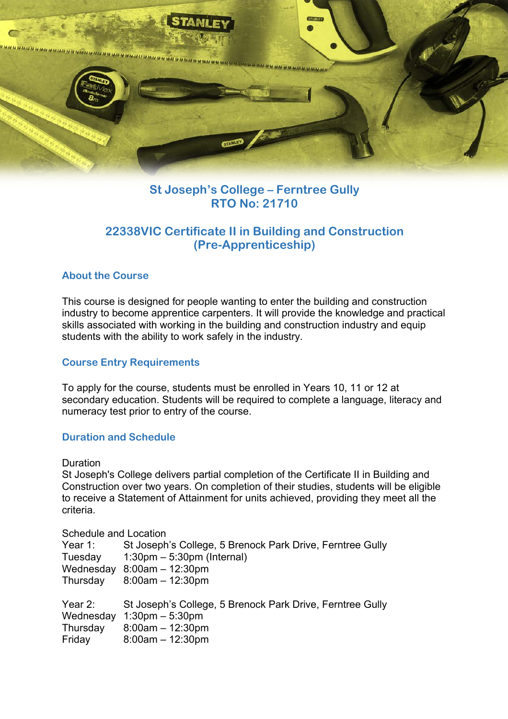

## **St Joseph's College – Ferntree Gully RTO No: 21710**

## **22338VIC Certificate II in Building and Construction (Pre-Apprenticeship)**

## **About the Course**

This course is designed for people wanting to enter the building and construction industry to become apprentice carpenters. It will provide the knowledge and practical skills associated with working in the building and construction industry and equip students with the ability to work safely in the industry.

### **Course Entry Requirements**

To apply for the course, students must be enrolled in Years 10, 11 or 12 at secondary education. Students will be required to complete a language, literacy and numeracy test prior to entry of the course.

### **Duration and Schedule**

#### **Duration**

St Joseph's College delivers partial completion of the Certificate II in Building and Construction over two years. On completion of their studies, students will be eligible to receive a Statement of Attainment for units achieved, providing they meet all the criteria.

#### Schedule and Location

| Year $1$ : | St Joseph's College, 5 Brenock Park Drive, Ferntree Gully |
|------------|-----------------------------------------------------------|
| Tuesday    | $1:30 \text{pm} - 5:30 \text{pm}$ (Internal)              |
| Wednesday  | $8:00am - 12:30pm$                                        |
| Thursday   | $8:00am - 12:30pm$                                        |
| Year 2:    | St Joseph's College, 5 Brenock Park Drive, Ferntree Gully |
| Wednesday  | $1:30$ pm $-5:30$ pm                                      |
| Thursday   | $8:00am - 12:30pm$                                        |
| Friday     | $8:00am - 12:30pm$                                        |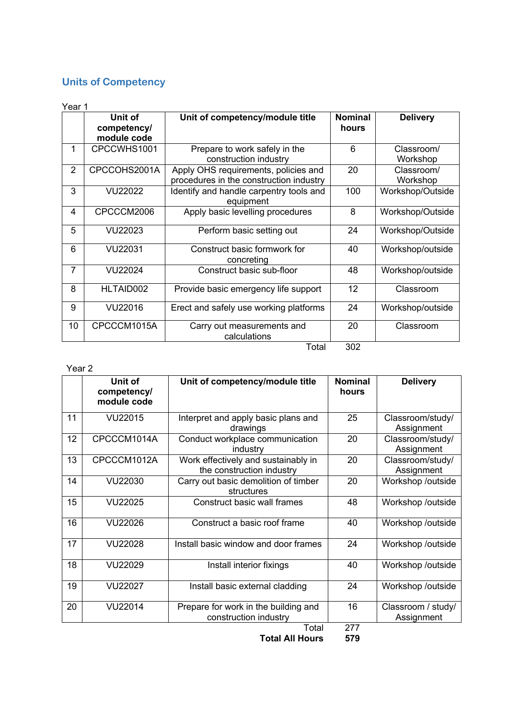# **Units of Competency**

| Year 1         |                                       |                                                                                 |                         |                        |  |  |
|----------------|---------------------------------------|---------------------------------------------------------------------------------|-------------------------|------------------------|--|--|
|                | Unit of<br>competency/<br>module code | Unit of competency/module title                                                 | <b>Nominal</b><br>hours | <b>Delivery</b>        |  |  |
| 1              | CPCCWHS1001                           | Prepare to work safely in the<br>construction industry                          | 6                       | Classroom/<br>Workshop |  |  |
| $\overline{2}$ | CPCCOHS2001A                          | Apply OHS requirements, policies and<br>procedures in the construction industry | 20                      | Classroom/<br>Workshop |  |  |
| 3              | VU22022                               | Identify and handle carpentry tools and<br>equipment                            | 100                     | Workshop/Outside       |  |  |
| 4              | CPCCCM2006                            | Apply basic levelling procedures                                                | 8                       | Workshop/Outside       |  |  |
| 5              | VU22023                               | Perform basic setting out                                                       | 24                      | Workshop/Outside       |  |  |
| 6              | VU22031                               | Construct basic formwork for<br>concreting                                      | 40                      | Workshop/outside       |  |  |
| $\overline{7}$ | VU22024                               | Construct basic sub-floor                                                       | 48                      | Workshop/outside       |  |  |
| 8              | HLTAID002                             | Provide basic emergency life support                                            | 12                      | Classroom              |  |  |
| 9              | VU22016                               | Erect and safely use working platforms                                          | 24                      | Workshop/outside       |  |  |
| 10             | CPCCCM1015A                           | Carry out measurements and<br>calculations                                      | 20                      | Classroom              |  |  |
|                |                                       | Total                                                                           | 302                     |                        |  |  |

#### Year 2

|    | Unit of<br>competency/<br>module code | Unit of competency/module title                                  | <b>Nominal</b><br>hours | <b>Delivery</b>                  |
|----|---------------------------------------|------------------------------------------------------------------|-------------------------|----------------------------------|
| 11 | VU22015                               | Interpret and apply basic plans and<br>drawings                  | 25                      | Classroom/study/<br>Assignment   |
| 12 | CPCCCM1014A                           | Conduct workplace communication<br>industry                      | 20                      | Classroom/study/<br>Assignment   |
| 13 | CPCCCM1012A                           | Work effectively and sustainably in<br>the construction industry | 20                      | Classroom/study/<br>Assignment   |
| 14 | VU22030                               | Carry out basic demolition of timber<br>structures               | 20                      | Workshop /outside                |
| 15 | VU22025                               | Construct basic wall frames                                      | 48                      | Workshop /outside                |
| 16 | VU22026                               | Construct a basic roof frame                                     | 40                      | Workshop /outside                |
| 17 | VU22028                               | Install basic window and door frames                             | 24                      | Workshop /outside                |
| 18 | VU22029                               | Install interior fixings                                         | 40                      | Workshop /outside                |
| 19 | VU22027                               | Install basic external cladding                                  | 24                      | Workshop /outside                |
| 20 | VU22014                               | Prepare for work in the building and<br>construction industry    | 16                      | Classroom / study/<br>Assignment |
|    |                                       | Total                                                            | 277                     |                                  |

**Total All Hours 579**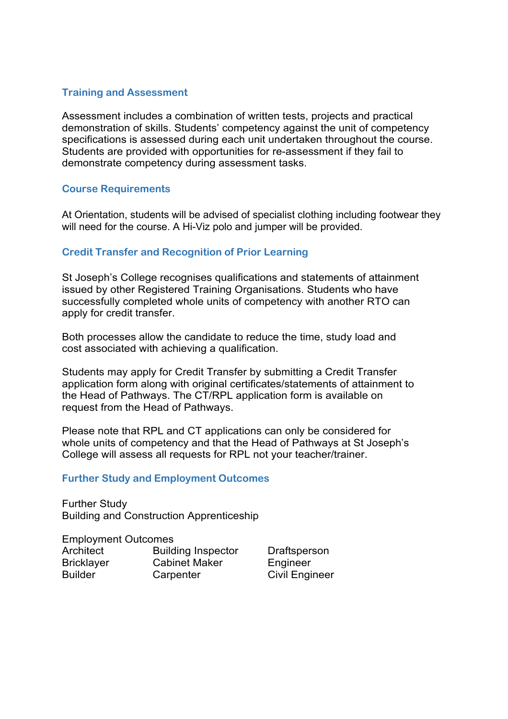## **Training and Assessment**

Assessment includes a combination of written tests, projects and practical demonstration of skills. Students' competency against the unit of competency specifications is assessed during each unit undertaken throughout the course. Students are provided with opportunities for re-assessment if they fail to demonstrate competency during assessment tasks.

### **Course Requirements**

At Orientation, students will be advised of specialist clothing including footwear they will need for the course. A Hi-Viz polo and jumper will be provided.

## **Credit Transfer and Recognition of Prior Learning**

St Joseph's College recognises qualifications and statements of attainment issued by other Registered Training Organisations. Students who have successfully completed whole units of competency with another RTO can apply for credit transfer.

Both processes allow the candidate to reduce the time, study load and cost associated with achieving a qualification.

Students may apply for Credit Transfer by submitting a Credit Transfer application form along with original certificates/statements of attainment to the Head of Pathways. The CT/RPL application form is available on request from the Head of Pathways.

Please note that RPL and CT applications can only be considered for whole units of competency and that the Head of Pathways at St Joseph's College will assess all requests for RPL not your teacher/trainer.

### **Further Study and Employment Outcomes**

Further Study Building and Construction Apprenticeship

## Employment Outcomes

Architect Building Inspector Draftsperson Bricklayer Cabinet Maker Engineer Builder Carpenter Civil Engineer